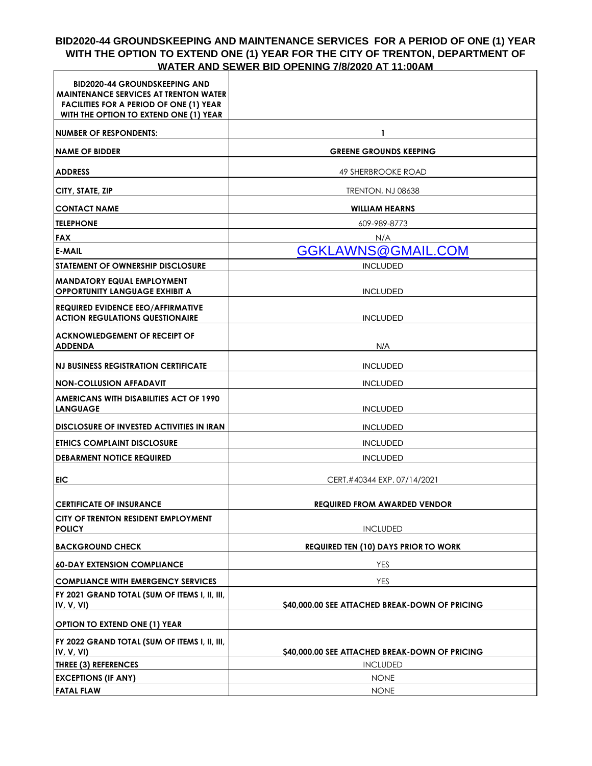# **BID2020-44 GROUNDSKEEPING AND MAINTENANCE SERVICES FOR A PERIOD OF ONE (1) YEAR**  WITH THE OPTION TO EXTEND ONE (1) YEAR FOR THE CITY OF TRENTON, DEPARTMENT OF<br>WATER AND SEWER BID OPENING 7/8/2020 AT 11:00AM **WATER AND SEWER BID OPENING 7/8/2020 AT 11:00AM**

| <b>BID2020-44 GROUNDSKEEPING AND</b><br><b>MAINTENANCE SERVICES AT TRENTON WATER</b><br><b>FACILITIES FOR A PERIOD OF ONE (1) YEAR</b><br>WITH THE OPTION TO EXTEND ONE (1) YEAR |                                                |
|----------------------------------------------------------------------------------------------------------------------------------------------------------------------------------|------------------------------------------------|
| <b>NUMBER OF RESPONDENTS:</b>                                                                                                                                                    |                                                |
| <b>NAME OF BIDDER</b>                                                                                                                                                            | <b>GREENE GROUNDS KEEPING</b>                  |
| <b>ADDRESS</b>                                                                                                                                                                   | <b>49 SHERBROOKE ROAD</b>                      |
| CITY, STATE, ZIP                                                                                                                                                                 | TRENTON, NJ 08638                              |
| <b>CONTACT NAME</b>                                                                                                                                                              | <b>WILLIAM HEARNS</b>                          |
| <b>TELEPHONE</b>                                                                                                                                                                 | 609-989-8773                                   |
| <b>FAX</b>                                                                                                                                                                       | N/A                                            |
| <b>E-MAIL</b>                                                                                                                                                                    | GGKLAWNS@GMAIL.COM                             |
| <b>STATEMENT OF OWNERSHIP DISCLOSURE</b>                                                                                                                                         | <b>INCLUDED</b>                                |
| <b>MANDATORY EQUAL EMPLOYMENT</b><br><b>OPPORTUNITY LANGUAGE EXHIBIT A</b>                                                                                                       | <b>INCLUDED</b>                                |
| <b>REQUIRED EVIDENCE EEO/AFFIRMATIVE</b><br><b>ACTION REGULATIONS QUESTIONAIRE</b>                                                                                               | <b>INCLUDED</b>                                |
| <b>ACKNOWLEDGEMENT OF RECEIPT OF</b><br><b>ADDENDA</b>                                                                                                                           | N/A                                            |
| <b>NJ BUSINESS REGISTRATION CERTIFICATE</b>                                                                                                                                      | <b>INCLUDED</b>                                |
| <b>NON-COLLUSION AFFADAVIT</b>                                                                                                                                                   | <b>INCLUDED</b>                                |
| AMERICANS WITH DISABILITIES ACT OF 1990<br><b>LANGUAGE</b>                                                                                                                       | <b>INCLUDED</b>                                |
| <b>DISCLOSURE OF INVESTED ACTIVITIES IN IRAN</b>                                                                                                                                 | <b>INCLUDED</b>                                |
| <b>ETHICS COMPLAINT DISCLOSURE</b>                                                                                                                                               | <b>INCLUDED</b>                                |
| <b>DEBARMENT NOTICE REQUIRED</b>                                                                                                                                                 | <b>INCLUDED</b>                                |
| <b>EIC</b>                                                                                                                                                                       | CERT.#40344 EXP. 07/14/2021                    |
| <b>CERTIFICATE OF INSURANCE</b>                                                                                                                                                  | <b>REQUIRED FROM AWARDED VENDOR</b>            |
| CITY OF TRENTON RESIDENT EMPLOYMENT<br><b>POLICY</b>                                                                                                                             | <b>INCLUDED</b>                                |
| <b>BACKGROUND CHECK</b>                                                                                                                                                          | <b>REQUIRED TEN (10) DAYS PRIOR TO WORK</b>    |
| <b>60-DAY EXTENSION COMPLIANCE</b>                                                                                                                                               | YES                                            |
| <b>COMPLIANCE WITH EMERGENCY SERVICES</b>                                                                                                                                        | <b>YES</b>                                     |
| FY 2021 GRAND TOTAL (SUM OF ITEMS I, II, III,<br>IV, V, VI)                                                                                                                      | \$40,000.00 SEE ATTACHED BREAK-DOWN OF PRICING |
| <b>OPTION TO EXTEND ONE (1) YEAR</b>                                                                                                                                             |                                                |
| FY 2022 GRAND TOTAL (SUM OF ITEMS I, II, III,<br>IV, V, VI)                                                                                                                      | \$40,000.00 SEE ATTACHED BREAK-DOWN OF PRICING |
| THREE (3) REFERENCES                                                                                                                                                             | <b>INCLUDED</b>                                |
| <b>EXCEPTIONS (IF ANY)</b>                                                                                                                                                       | <b>NONE</b>                                    |
| <b>FATAL FLAW</b>                                                                                                                                                                | <b>NONE</b>                                    |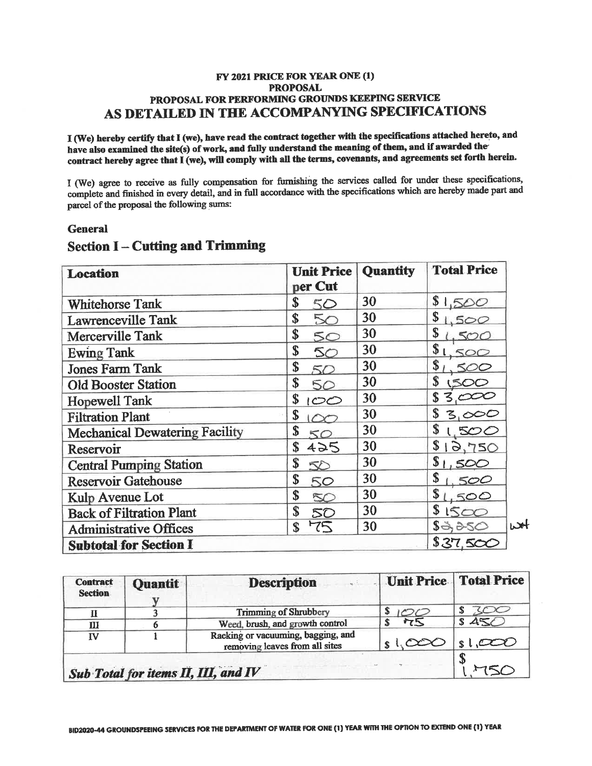## FY 2021 PRICE FOR YEAR ONE (1) **PROPOSAL** PROPOSAL FOR PERFORMING GROUNDS KEEPING SERVICE AS DETAILED IN THE ACCOMPANYING SPECIFICATIONS

I (We) hereby certify that I (we), have read the contract together with the specifications attached hereto, and have also examined the site(s) of work, and fully understand the meaning of them, and if awarded the contract hereby agree that I (we), will comply with all the terms, covenants, and agreements set forth herein.

I (We) agree to receive as fully compensation for furnishing the services called for under these specifications, complete and finished in every detail, and in full accordance with the specifications which are hereby made part and parcel of the proposal the following sums:

## **General**

| <b>Location</b>                       | <b>Unit Price</b><br>per Cut | <b>Quantity</b> | <b>Total Price</b>                                  |
|---------------------------------------|------------------------------|-----------------|-----------------------------------------------------|
| <b>Whitehorse Tank</b>                | \$<br>50                     | 30              | \$<br>1,500                                         |
| Lawrenceville Tank                    | \$<br>50                     | 30              | \$<br>500                                           |
| Mercerville Tank                      | \$<br>50                     | 30              | \$<br>500                                           |
| <b>Ewing Tank</b>                     | \$<br>50                     | 30              | \$<br>500                                           |
| <b>Jones Farm Tank</b>                | \$<br>50                     | 30              | \$                                                  |
| <b>Old Booster Station</b>            | \$<br>50                     | 30              | \$                                                  |
| <b>Hopewell Tank</b>                  | \$<br>صص                     | 30              |                                                     |
| <b>Filtration Plant</b>               | \$<br>$\infty$               | 30              | \$<br>3,000                                         |
| <b>Mechanical Dewatering Facility</b> | \$<br>50                     | 30              | \$<br><b>SOO</b>                                    |
| Reservoir                             | \$<br>425                    | 30              | \$<br>3,750                                         |
| <b>Central Pumping Station</b>        | \$<br>50                     | 30              | \$<br>500                                           |
| <b>Reservoir Gatehouse</b>            | \$<br>50                     | 30              | \$<br>500                                           |
| Kulp Avenue Lot                       | \$<br>50                     | 30              | \$<br>500                                           |
| <b>Back of Filtration Plant</b>       | \$<br>50                     | 30              | \$<br>$\sim$                                        |
| <b>Administrative Offices</b>         | 75<br>\$                     | 30              | باعدا<br>$\mathbb{S}\rightarrow \rightarrow \infty$ |
| <b>Subtotal for Section I</b>         |                              |                 | \$37,500                                            |

# **Section I-Cutting and Trimming**

| <b>Contract</b><br><b>Section</b> | <b>Quantit</b>                      | <b>Description</b>                                                   | Unit Price Total Price |       |
|-----------------------------------|-------------------------------------|----------------------------------------------------------------------|------------------------|-------|
|                                   |                                     | <b>Trimming of Shrubbery</b>                                         |                        |       |
| Ш                                 |                                     | Weed, brush, and growth control                                      | 75                     | \$45C |
| ΙV                                |                                     | Racking or vacuuming, bagging, and<br>removing leaves from all sites |                        |       |
|                                   | Sub Total for items II, III, and IV |                                                                      |                        |       |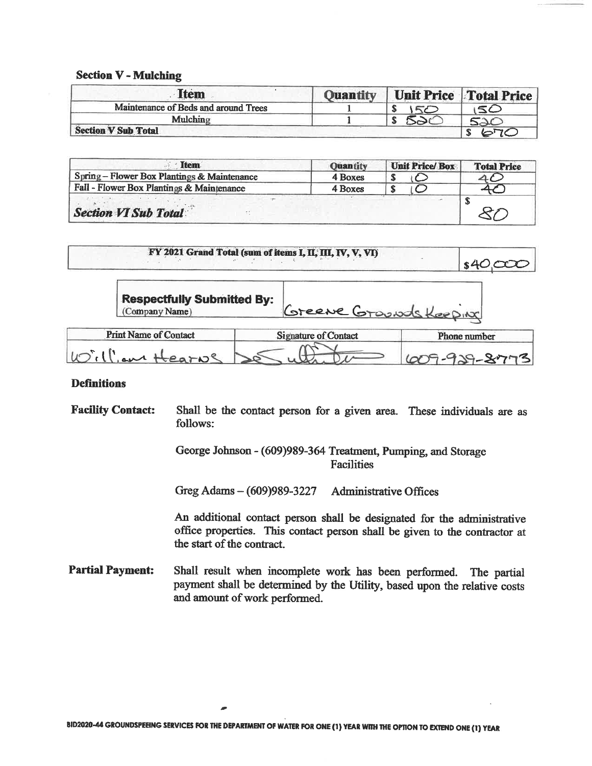#### **Section V - Mulching**

| <b>Item</b>                          | <b>Ouantity</b> | Unit Price Total Price |
|--------------------------------------|-----------------|------------------------|
| Maintenance of Beds and around Trees |                 | $\sim$ $\prime$        |
| Mulching                             |                 |                        |
| <b>Section V Sub Total</b>           |                 |                        |

| <b>Item</b>                                 | <b>Quantity</b> | <b>Unit Price/Box</b> | <b>Total Price</b> |
|---------------------------------------------|-----------------|-----------------------|--------------------|
| Spring - Flower Box Plantings & Maintenance | 4 Boxes         |                       |                    |
| Fall - Flower Box Plantings & Maintenance   | 4 Boxes         |                       |                    |
| <b>Section VI Sub Total</b>                 |                 |                       |                    |

|                                                     | FY 2021 Grand Total (sum of items I, II, III, IV, V, VI) |              |
|-----------------------------------------------------|----------------------------------------------------------|--------------|
| <b>Respectfully Submitted By:</b><br>(Company Name) | Greene Grounds Keeping                                   |              |
| <b>Print Name of Contact</b>                        | <b>Signature of Contact</b>                              | Phone number |

#### **Definitions**

William Hearns

**Facility Contact:** Shall be the contact person for a given area. These individuals are as follows:

> George Johnson - (609)989-364 Treatment, Pumping, and Storage **Facilities**

Greg Adams - (609)989-3227 **Administrative Offices** 

An additional contact person shall be designated for the administrative office properties. This contact person shall be given to the contractor at the start of the contract.

609929-87

**Partial Payment:** Shall result when incomplete work has been performed. The partial payment shall be determined by the Utility, based upon the relative costs and amount of work performed.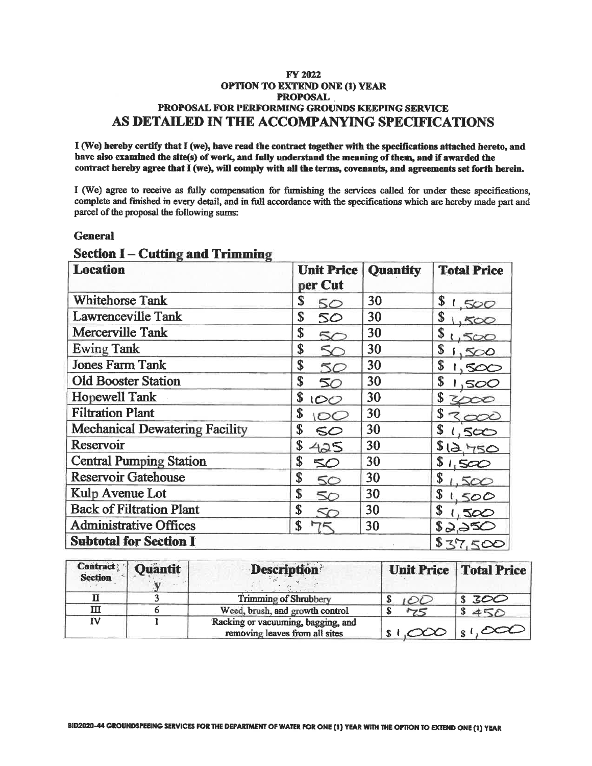### **FY 2022 OPTION TO EXTEND ONE (1) YEAR PROPOSAL** PROPOSAL FOR PERFORMING GROUNDS KEEPING SERVICE AS DETAILED IN THE ACCOMPANYING SPECIFICATIONS

I (We) hereby certify that I (we), have read the contract together with the specifications attached hereto, and have also examined the site(s) of work, and fully understand the meaning of them, and if awarded the contract hereby agree that I (we), will comply with all the terms, covenants, and agreements set forth herein.

I (We) agree to receive as fully compensation for furnishing the services called for under these specifications, complete and finished in every detail, and in full accordance with the specifications which are hereby made part and parcel of the proposal the following sums:

## **General**

| <b>Location</b>                       | <b>Unit Price</b><br>per Cut | <b>Quantity</b> | <b>Total Price</b> |
|---------------------------------------|------------------------------|-----------------|--------------------|
| <b>Whitehorse Tank</b>                | \$<br>50                     | 30              | \$<br>.500         |
| Lawrenceville Tank                    | \$<br>50                     | 30              | \$<br>500          |
| <b>Mercerville Tank</b>               | \$<br>5C                     | 30              | \$<br>5000         |
| <b>Ewing Tank</b>                     | \$<br>↖                      | 30              | \$<br>∞∑           |
| <b>Jones Farm Tank</b>                | \$<br>50                     | 30              | \$<br>500          |
| <b>Old Booster Station</b>            | \$<br>50                     | 30              | \$<br>SOC          |
| <b>Hopewell Tank</b>                  | \$<br>IOO                    | 30              | \$                 |
| <b>Filtration Plant</b>               | \$                           | 30              | \$                 |
| <b>Mechanical Dewatering Facility</b> | \$<br>50                     | 30              | \$<br>500          |
| Reservoir                             | \$<br>425                    | 30              | 12,750             |
| <b>Central Pumping Station</b>        | \$<br>50                     | 30              | \$<br>1,500        |
| <b>Reservoir Gatehouse</b>            | \$<br>50                     | 30              | \$<br>500          |
| Kulp Avenue Lot                       | \$<br>50                     | 30              | \$<br>500          |
| <b>Back of Filtration Plant</b>       | \$                           | 30              | \$<br>500          |
| <b>Administrative Offices</b>         | \$                           | 30              | 82,050             |
| <b>Subtotal for Section I</b>         |                              |                 | \$37,500           |

# **Section I – Cutting and Trimming**

| <b>Contract</b><br><b>Section</b> | Quantit | <b>Description</b>                                                   |            | <b>Unit Price   Total Price</b> |
|-----------------------------------|---------|----------------------------------------------------------------------|------------|---------------------------------|
|                                   |         | Trimming of Shrubbery                                                |            | \$300                           |
| Ш                                 |         | Weed, brush, and growth control                                      | 75         | 450                             |
| <b>IV</b>                         |         | Racking or vacuuming, bagging, and<br>removing leaves from all sites | $s \sim 0$ | $ s , \infty$                   |